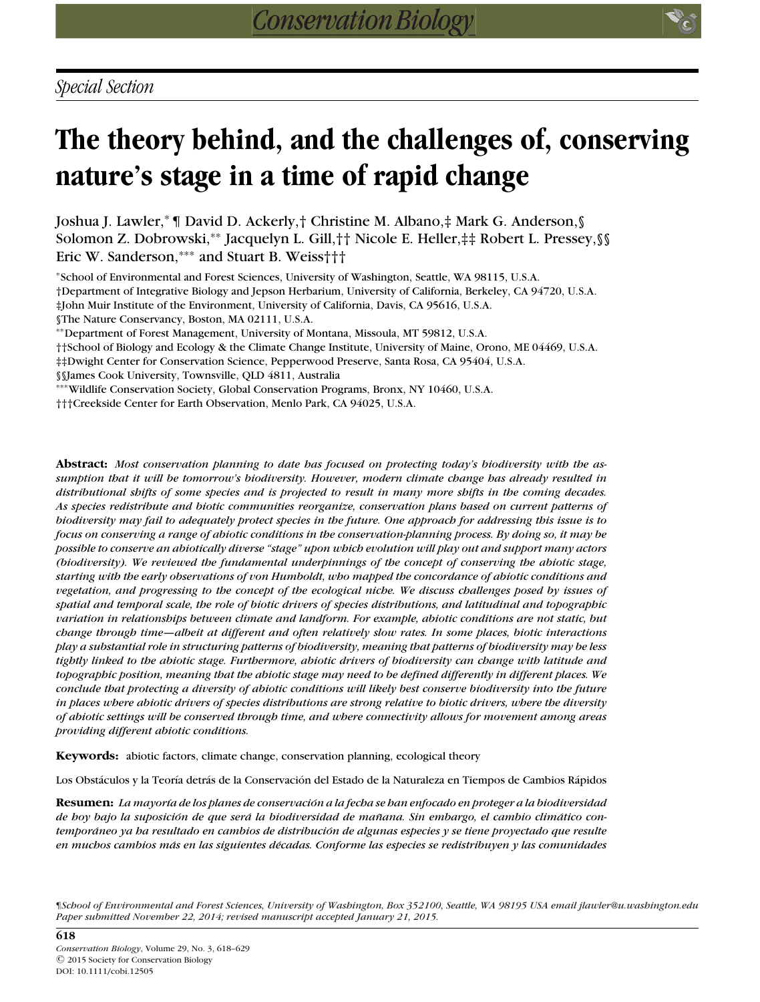# **The theory behind, and the challenges of, conserving nature's stage in a time of rapid change**

Joshua J. Lawler,<sup>∗</sup> ¶ David D. Ackerly,† Christine M. Albano,‡ Mark G. Anderson,§ Solomon Z. Dobrowski,∗∗ Jacquelyn L. Gill,†† Nicole E. Heller,‡‡ Robert L. Pressey,§§ Eric W. Sanderson,∗∗∗ and Stuart B. Weiss†††

<sup>∗</sup>School of Environmental and Forest Sciences, University of Washington, Seattle, WA 98115, U.S.A.

†Department of Integrative Biology and Jepson Herbarium, University of California, Berkeley, CA 94720, U.S.A.

‡John Muir Institute of the Environment, University of California, Davis, CA 95616, U.S.A.

§The Nature Conservancy, Boston, MA 02111, U.S.A.

∗∗Department of Forest Management, University of Montana, Missoula, MT 59812, U.S.A.

††School of Biology and Ecology & the Climate Change Institute, University of Maine, Orono, ME 04469, U.S.A.

‡‡Dwight Center for Conservation Science, Pepperwood Preserve, Santa Rosa, CA 95404, U.S.A.

§§James Cook University, Townsville, QLD 4811, Australia

∗∗∗Wildlife Conservation Society, Global Conservation Programs, Bronx, NY 10460, U.S.A.

†††Creekside Center for Earth Observation, Menlo Park, CA 94025, U.S.A.

**Abstract:** *Most conservation planning to date has focused on protecting today's biodiversity with the assumption that it will be tomorrow's biodiversity. However, modern climate change has already resulted in distributional shifts of some species and is projected to result in many more shifts in the coming decades. As species redistribute and biotic communities reorganize, conservation plans based on current patterns of biodiversity may fail to adequately protect species in the future. One approach for addressing this issue is to focus on conserving a range of abiotic conditions in the conservation-planning process. By doing so, it may be possible to conserve an abiotically diverse "stage" upon which evolution will play out and support many actors (biodiversity). We reviewed the fundamental underpinnings of the concept of conserving the abiotic stage, starting with the early observations of von Humboldt, who mapped the concordance of abiotic conditions and vegetation, and progressing to the concept of the ecological niche. We discuss challenges posed by issues of spatial and temporal scale, the role of biotic drivers of species distributions, and latitudinal and topographic variation in relationships between climate and landform. For example, abiotic conditions are not static, but change through time—albeit at different and often relatively slow rates. In some places, biotic interactions play a substantial role in structuring patterns of biodiversity, meaning that patterns of biodiversity may be less tightly linked to the abiotic stage. Furthermore, abiotic drivers of biodiversity can change with latitude and topographic position, meaning that the abiotic stage may need to be defined differently in different places. We conclude that protecting a diversity of abiotic conditions will likely best conserve biodiversity into the future in places where abiotic drivers of species distributions are strong relative to biotic drivers, where the diversity of abiotic settings will be conserved through time, and where connectivity allows for movement among areas providing different abiotic conditions.*

**Keywords:** abiotic factors, climate change, conservation planning, ecological theory

Los Obstáculos y la Teoría detrás de la Conservación del Estado de la Naturaleza en Tiempos de Cambios Rápidos

**Resumen:** *La mayor´ıa de los planes de conservacion a la fecha se han enfocado en proteger a la biodiversidad ´ de hoy bajo la suposicion de que ser ´ a la biodiversidad de ma ´ nana. Sin embargo, el cambio clim ˜ atico con- ´ temporaneo ya ha resultado en cambios de distribuci ´ on de algunas especies y se tiene proyectado que resulte ´ en muchos cambios mas en las siguientes d ´ ´ecadas. Conforme las especies se redistribuyen y las comunidades*

¶*School of Environmental and Forest Sciences, University of Washington, Box 352100, Seattle, WA 98195 USA email jlawler@u.washington.edu Paper submitted November 22, 2014; revised manuscript accepted January 21, 2015.*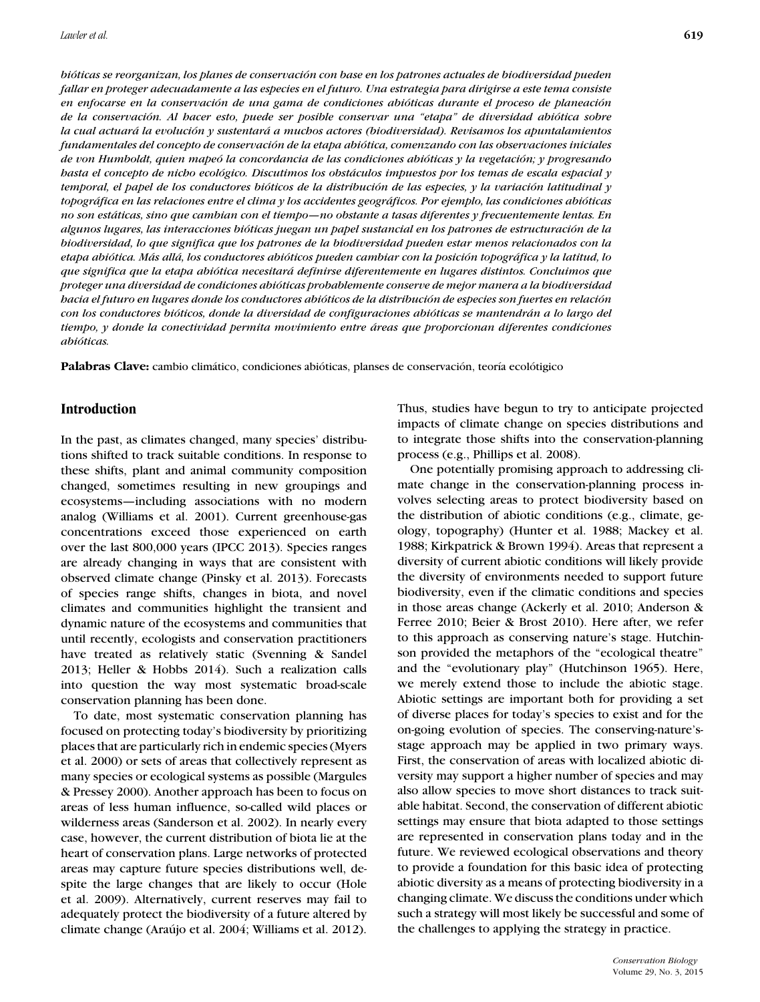*bioticas se reorganizan, los planes de conservaci ´ on con base en los patrones actuales de biodiversidad pueden ´ fallar en proteger adecuadamente a las especies en el futuro. Una estrategia para dirigirse a este tema consiste en enfocarse en la conservacion de una gama de condiciones abi ´ oticas durante el proceso de planeaci ´ on´ de la conservacion. Al hacer esto, puede ser posible conservar una "etapa" de diversidad abi ´ otica sobre ´ la cual actuara la evoluci ´ on y sustentar ´ a a muchos actores (biodiversidad). Revisamos los apuntalamientos ´ fundamentales del concepto de conservacion de la etapa abi ´ otica, comenzando con las observaciones iniciales ´ de von Humboldt, quien mapeo la concordancia de las condiciones abi ´ oticas y la vegetaci ´ on; y progresando ´ hasta el concepto de nicho ecologico. Discutimos los obst ´ aculos impuestos por los temas de escala espacial y ´ temporal, el papel de los conductores bioticos de la distribuci ´ on de las especies, y la variaci ´ on latitudinal y ´ topografica en las relaciones entre el clima y los accidentes geogr ´ aficos. Por ejemplo, las condiciones abi ´ oticas ´ no son estaticas, sino que cambian con el tiempo—no obstante a tasas diferentes y frecuentemente lentas. En ´ algunos lugares, las interacciones bioticas juegan un papel sustancial en los patrones de estructuraci ´ on de la ´ biodiversidad, lo que significa que los patrones de la biodiversidad pueden estar menos relacionados con la etapa abiotica. M ´ as all ´ a, los conductores abi ´ oticos pueden cambiar con la posici ´ on topogr ´ afica y la latitud, lo ´ que significa que la etapa abiotica necesitar ´ a definirse diferentemente en lugares distintos. Concluimos que ´ proteger una diversidad de condiciones abioticas probablemente conserve de mejor manera a la biodiversidad ´ hacia el futuro en lugares donde los conductores abioticos de la distribuci ´ on de especies son fuertes en relaci ´ on´ con los conductores bioticos, donde la diversidad de configuraciones abi ´ oticas se mantendr ´ an a lo largo del ´ tiempo, y donde la conectividad permita movimiento entre areas que proporcionan diferentes condiciones ´ abioticas. ´*

Palabras Clave: cambio climático, condiciones abióticas, planses de conservación, teoría ecolótigico

# **Introduction**

In the past, as climates changed, many species' distributions shifted to track suitable conditions. In response to these shifts, plant and animal community composition changed, sometimes resulting in new groupings and ecosystems—including associations with no modern analog (Williams et al. 2001). Current greenhouse-gas concentrations exceed those experienced on earth over the last 800,000 years (IPCC 2013). Species ranges are already changing in ways that are consistent with observed climate change (Pinsky et al. 2013). Forecasts of species range shifts, changes in biota, and novel climates and communities highlight the transient and dynamic nature of the ecosystems and communities that until recently, ecologists and conservation practitioners have treated as relatively static (Svenning & Sandel 2013; Heller & Hobbs 2014). Such a realization calls into question the way most systematic broad-scale conservation planning has been done.

To date, most systematic conservation planning has focused on protecting today's biodiversity by prioritizing places that are particularly rich in endemic species (Myers et al. 2000) or sets of areas that collectively represent as many species or ecological systems as possible (Margules & Pressey 2000). Another approach has been to focus on areas of less human influence, so-called wild places or wilderness areas (Sanderson et al. 2002). In nearly every case, however, the current distribution of biota lie at the heart of conservation plans. Large networks of protected areas may capture future species distributions well, despite the large changes that are likely to occur (Hole et al. 2009). Alternatively, current reserves may fail to adequately protect the biodiversity of a future altered by climate change (Araújo et al. 2004; Williams et al. 2012). Thus, studies have begun to try to anticipate projected impacts of climate change on species distributions and to integrate those shifts into the conservation-planning process (e.g., Phillips et al. 2008).

One potentially promising approach to addressing climate change in the conservation-planning process involves selecting areas to protect biodiversity based on the distribution of abiotic conditions (e.g., climate, geology, topography) (Hunter et al. 1988; Mackey et al. 1988; Kirkpatrick & Brown 1994). Areas that represent a diversity of current abiotic conditions will likely provide the diversity of environments needed to support future biodiversity, even if the climatic conditions and species in those areas change (Ackerly et al. 2010; Anderson & Ferree 2010; Beier & Brost 2010). Here after, we refer to this approach as conserving nature's stage. Hutchinson provided the metaphors of the "ecological theatre" and the "evolutionary play" (Hutchinson 1965). Here, we merely extend those to include the abiotic stage. Abiotic settings are important both for providing a set of diverse places for today's species to exist and for the on-going evolution of species. The conserving-nature'sstage approach may be applied in two primary ways. First, the conservation of areas with localized abiotic diversity may support a higher number of species and may also allow species to move short distances to track suitable habitat. Second, the conservation of different abiotic settings may ensure that biota adapted to those settings are represented in conservation plans today and in the future. We reviewed ecological observations and theory to provide a foundation for this basic idea of protecting abiotic diversity as a means of protecting biodiversity in a changing climate. We discuss the conditions under which such a strategy will most likely be successful and some of the challenges to applying the strategy in practice.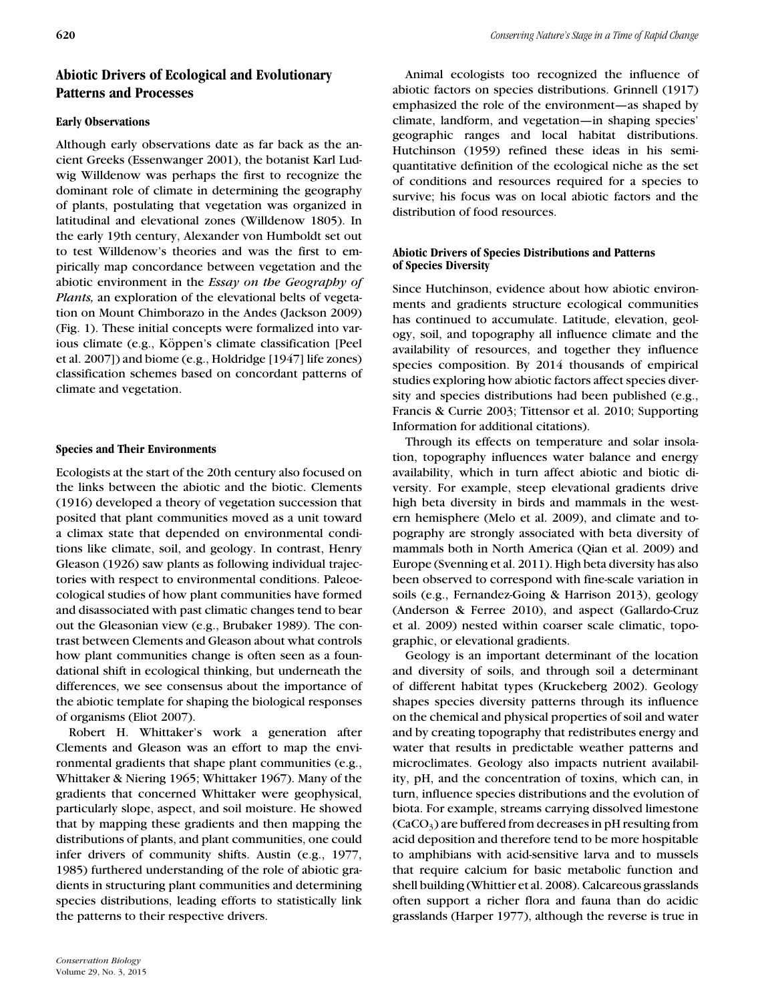# **Abiotic Drivers of Ecological and Evolutionary Patterns and Processes**

# **Early Observations**

Although early observations date as far back as the ancient Greeks (Essenwanger 2001), the botanist Karl Ludwig Willdenow was perhaps the first to recognize the dominant role of climate in determining the geography of plants, postulating that vegetation was organized in latitudinal and elevational zones (Willdenow 1805). In the early 19th century, Alexander von Humboldt set out to test Willdenow's theories and was the first to empirically map concordance between vegetation and the abiotic environment in the *Essay on the Geography of Plants,* an exploration of the elevational belts of vegetation on Mount Chimborazo in the Andes (Jackson 2009) (Fig. 1). These initial concepts were formalized into various climate (e.g., Köppen's climate classification [Peel et al. 2007]) and biome (e.g., Holdridge [1947] life zones) classification schemes based on concordant patterns of climate and vegetation.

# **Species and Their Environments**

Ecologists at the start of the 20th century also focused on the links between the abiotic and the biotic. Clements (1916) developed a theory of vegetation succession that posited that plant communities moved as a unit toward a climax state that depended on environmental conditions like climate, soil, and geology. In contrast, Henry Gleason (1926) saw plants as following individual trajectories with respect to environmental conditions. Paleoecological studies of how plant communities have formed and disassociated with past climatic changes tend to bear out the Gleasonian view (e.g., Brubaker 1989). The contrast between Clements and Gleason about what controls how plant communities change is often seen as a foundational shift in ecological thinking, but underneath the differences, we see consensus about the importance of the abiotic template for shaping the biological responses of organisms (Eliot 2007).

Robert H. Whittaker's work a generation after Clements and Gleason was an effort to map the environmental gradients that shape plant communities (e.g., Whittaker & Niering 1965; Whittaker 1967). Many of the gradients that concerned Whittaker were geophysical, particularly slope, aspect, and soil moisture. He showed that by mapping these gradients and then mapping the distributions of plants, and plant communities, one could infer drivers of community shifts. Austin (e.g., 1977, 1985) furthered understanding of the role of abiotic gradients in structuring plant communities and determining species distributions, leading efforts to statistically link the patterns to their respective drivers.

Animal ecologists too recognized the influence of abiotic factors on species distributions. Grinnell (1917) emphasized the role of the environment—as shaped by climate, landform, and vegetation—in shaping species' geographic ranges and local habitat distributions. Hutchinson (1959) refined these ideas in his semiquantitative definition of the ecological niche as the set of conditions and resources required for a species to survive; his focus was on local abiotic factors and the distribution of food resources.

# **Abiotic Drivers of Species Distributions and Patterns of Species Diversity**

Since Hutchinson, evidence about how abiotic environments and gradients structure ecological communities has continued to accumulate. Latitude, elevation, geology, soil, and topography all influence climate and the availability of resources, and together they influence species composition. By 2014 thousands of empirical studies exploring how abiotic factors affect species diversity and species distributions had been published (e.g., Francis & Currie 2003; Tittensor et al. 2010; Supporting Information for additional citations).

Through its effects on temperature and solar insolation, topography influences water balance and energy availability, which in turn affect abiotic and biotic diversity. For example, steep elevational gradients drive high beta diversity in birds and mammals in the western hemisphere (Melo et al. 2009), and climate and topography are strongly associated with beta diversity of mammals both in North America (Qian et al. 2009) and Europe (Svenning et al. 2011). High beta diversity has also been observed to correspond with fine-scale variation in soils (e.g., Fernandez-Going & Harrison 2013), geology (Anderson & Ferree 2010), and aspect (Gallardo-Cruz et al. 2009) nested within coarser scale climatic, topographic, or elevational gradients.

Geology is an important determinant of the location and diversity of soils, and through soil a determinant of different habitat types (Kruckeberg 2002). Geology shapes species diversity patterns through its influence on the chemical and physical properties of soil and water and by creating topography that redistributes energy and water that results in predictable weather patterns and microclimates. Geology also impacts nutrient availability, pH, and the concentration of toxins, which can, in turn, influence species distributions and the evolution of biota. For example, streams carrying dissolved limestone  $(CaCO<sub>3</sub>)$  are buffered from decreases in pH resulting from acid deposition and therefore tend to be more hospitable to amphibians with acid-sensitive larva and to mussels that require calcium for basic metabolic function and shell building (Whittier et al. 2008). Calcareous grasslands often support a richer flora and fauna than do acidic grasslands (Harper 1977), although the reverse is true in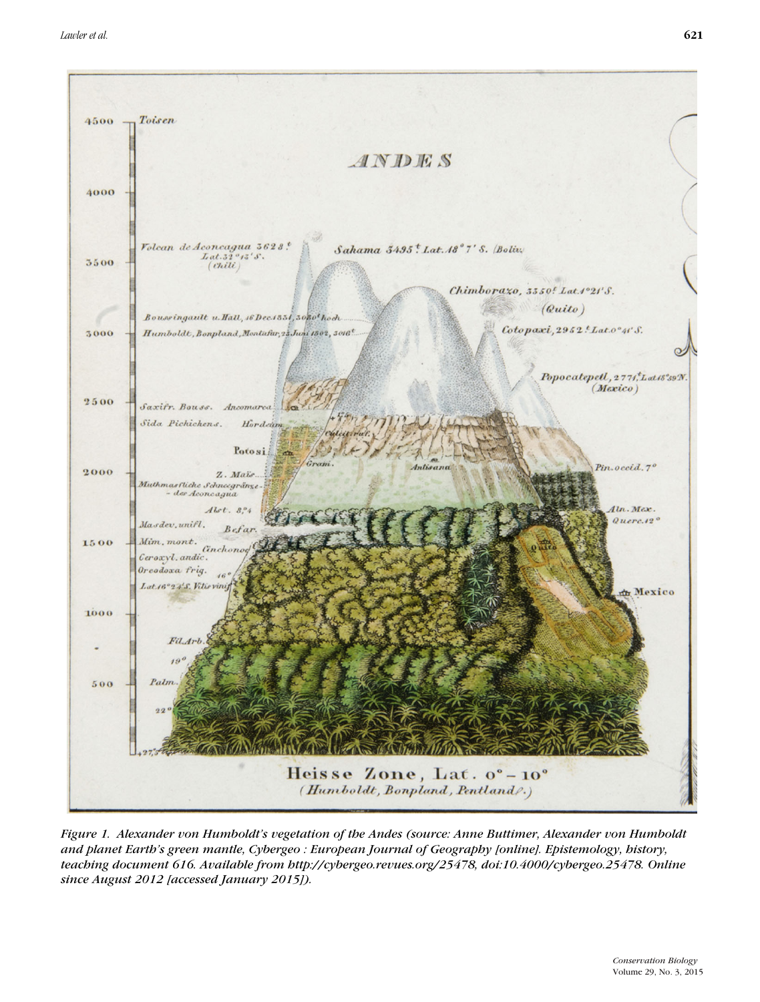

*Figure 1. Alexander von Humboldt's vegetation of the Andes (source: Anne Buttimer, Alexander von Humboldt and planet Earth's green mantle, Cybergeo : European Journal of Geography [online]. Epistemology, history, teaching document 616. Available from http://cybergeo.revues.org/25478, doi:10.4000/cybergeo.25478. Online since August 2012 [accessed January 2015]).*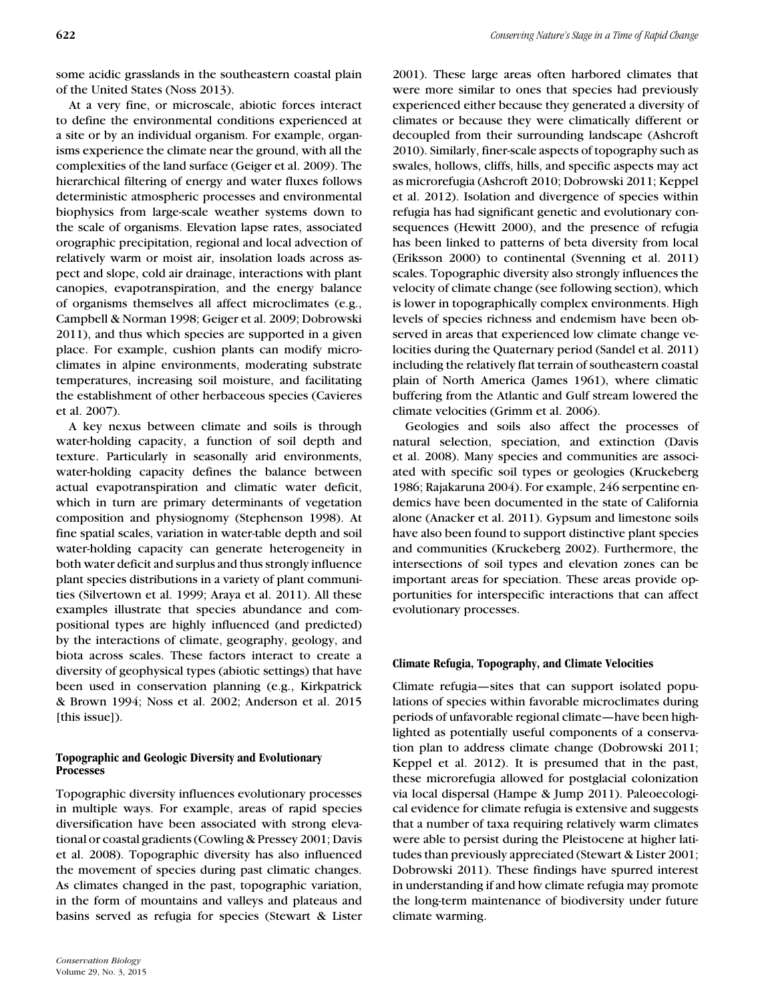some acidic grasslands in the southeastern coastal plain of the United States (Noss 2013).

At a very fine, or microscale, abiotic forces interact to define the environmental conditions experienced at a site or by an individual organism. For example, organisms experience the climate near the ground, with all the complexities of the land surface (Geiger et al. 2009). The hierarchical filtering of energy and water fluxes follows deterministic atmospheric processes and environmental biophysics from large-scale weather systems down to the scale of organisms. Elevation lapse rates, associated orographic precipitation, regional and local advection of relatively warm or moist air, insolation loads across aspect and slope, cold air drainage, interactions with plant canopies, evapotranspiration, and the energy balance of organisms themselves all affect microclimates (e.g., Campbell & Norman 1998; Geiger et al. 2009; Dobrowski 2011), and thus which species are supported in a given place. For example, cushion plants can modify microclimates in alpine environments, moderating substrate temperatures, increasing soil moisture, and facilitating the establishment of other herbaceous species (Cavieres et al. 2007).

A key nexus between climate and soils is through water-holding capacity, a function of soil depth and texture. Particularly in seasonally arid environments, water-holding capacity defines the balance between actual evapotranspiration and climatic water deficit, which in turn are primary determinants of vegetation composition and physiognomy (Stephenson 1998). At fine spatial scales, variation in water-table depth and soil water-holding capacity can generate heterogeneity in both water deficit and surplus and thus strongly influence plant species distributions in a variety of plant communities (Silvertown et al. 1999; Araya et al. 2011). All these examples illustrate that species abundance and compositional types are highly influenced (and predicted) by the interactions of climate, geography, geology, and biota across scales. These factors interact to create a diversity of geophysical types (abiotic settings) that have been used in conservation planning (e.g., Kirkpatrick & Brown 1994; Noss et al. 2002; Anderson et al. 2015 [this issue]).

#### **Topographic and Geologic Diversity and Evolutionary Processes**

Topographic diversity influences evolutionary processes in multiple ways. For example, areas of rapid species diversification have been associated with strong elevational or coastal gradients (Cowling & Pressey 2001; Davis et al. 2008). Topographic diversity has also influenced the movement of species during past climatic changes. As climates changed in the past, topographic variation, in the form of mountains and valleys and plateaus and basins served as refugia for species (Stewart & Lister

2001). These large areas often harbored climates that were more similar to ones that species had previously experienced either because they generated a diversity of climates or because they were climatically different or decoupled from their surrounding landscape (Ashcroft 2010). Similarly, finer-scale aspects of topography such as swales, hollows, cliffs, hills, and specific aspects may act as microrefugia (Ashcroft 2010; Dobrowski 2011; Keppel et al. 2012). Isolation and divergence of species within refugia has had significant genetic and evolutionary consequences (Hewitt 2000), and the presence of refugia has been linked to patterns of beta diversity from local (Eriksson 2000) to continental (Svenning et al. 2011) scales. Topographic diversity also strongly influences the velocity of climate change (see following section), which is lower in topographically complex environments. High levels of species richness and endemism have been observed in areas that experienced low climate change velocities during the Quaternary period (Sandel et al. 2011) including the relatively flat terrain of southeastern coastal plain of North America (James 1961), where climatic buffering from the Atlantic and Gulf stream lowered the climate velocities (Grimm et al. 2006).

Geologies and soils also affect the processes of natural selection, speciation, and extinction (Davis et al. 2008). Many species and communities are associated with specific soil types or geologies (Kruckeberg 1986; Rajakaruna 2004). For example, 246 serpentine endemics have been documented in the state of California alone (Anacker et al. 2011). Gypsum and limestone soils have also been found to support distinctive plant species and communities (Kruckeberg 2002). Furthermore, the intersections of soil types and elevation zones can be important areas for speciation. These areas provide opportunities for interspecific interactions that can affect evolutionary processes.

#### **Climate Refugia, Topography, and Climate Velocities**

Climate refugia—sites that can support isolated populations of species within favorable microclimates during periods of unfavorable regional climate—have been highlighted as potentially useful components of a conservation plan to address climate change (Dobrowski 2011; Keppel et al. 2012). It is presumed that in the past, these microrefugia allowed for postglacial colonization via local dispersal (Hampe & Jump 2011). Paleoecological evidence for climate refugia is extensive and suggests that a number of taxa requiring relatively warm climates were able to persist during the Pleistocene at higher latitudes than previously appreciated (Stewart & Lister 2001; Dobrowski 2011). These findings have spurred interest in understanding if and how climate refugia may promote the long-term maintenance of biodiversity under future climate warming.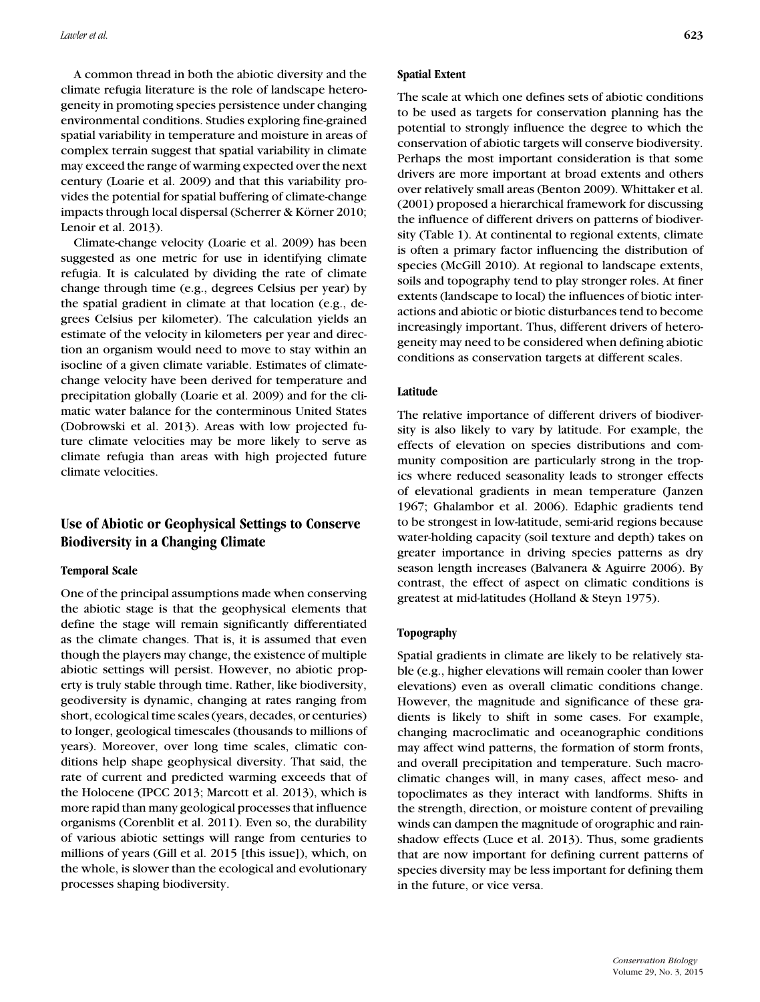A common thread in both the abiotic diversity and the climate refugia literature is the role of landscape heterogeneity in promoting species persistence under changing environmental conditions. Studies exploring fine-grained spatial variability in temperature and moisture in areas of complex terrain suggest that spatial variability in climate may exceed the range of warming expected over the next century (Loarie et al. 2009) and that this variability provides the potential for spatial buffering of climate-change impacts through local dispersal (Scherrer & Körner 2010; Lenoir et al. 2013).

Climate-change velocity (Loarie et al. 2009) has been suggested as one metric for use in identifying climate refugia. It is calculated by dividing the rate of climate change through time (e.g., degrees Celsius per year) by the spatial gradient in climate at that location (e.g., degrees Celsius per kilometer). The calculation yields an estimate of the velocity in kilometers per year and direction an organism would need to move to stay within an isocline of a given climate variable. Estimates of climatechange velocity have been derived for temperature and precipitation globally (Loarie et al. 2009) and for the climatic water balance for the conterminous United States (Dobrowski et al. 2013). Areas with low projected future climate velocities may be more likely to serve as climate refugia than areas with high projected future climate velocities.

# **Use of Abiotic or Geophysical Settings to Conserve Biodiversity in a Changing Climate**

## **Temporal Scale**

One of the principal assumptions made when conserving the abiotic stage is that the geophysical elements that define the stage will remain significantly differentiated as the climate changes. That is, it is assumed that even though the players may change, the existence of multiple abiotic settings will persist. However, no abiotic property is truly stable through time. Rather, like biodiversity, geodiversity is dynamic, changing at rates ranging from short, ecological time scales (years, decades, or centuries) to longer, geological timescales (thousands to millions of years). Moreover, over long time scales, climatic conditions help shape geophysical diversity. That said, the rate of current and predicted warming exceeds that of the Holocene (IPCC 2013; Marcott et al. 2013), which is more rapid than many geological processes that influence organisms (Corenblit et al. 2011). Even so, the durability of various abiotic settings will range from centuries to millions of years (Gill et al. 2015 [this issue]), which, on the whole, is slower than the ecological and evolutionary processes shaping biodiversity.

#### **Spatial Extent**

The scale at which one defines sets of abiotic conditions to be used as targets for conservation planning has the potential to strongly influence the degree to which the conservation of abiotic targets will conserve biodiversity. Perhaps the most important consideration is that some drivers are more important at broad extents and others over relatively small areas (Benton 2009). Whittaker et al. (2001) proposed a hierarchical framework for discussing the influence of different drivers on patterns of biodiversity (Table 1). At continental to regional extents, climate is often a primary factor influencing the distribution of species (McGill 2010). At regional to landscape extents, soils and topography tend to play stronger roles. At finer extents (landscape to local) the influences of biotic interactions and abiotic or biotic disturbances tend to become increasingly important. Thus, different drivers of heterogeneity may need to be considered when defining abiotic conditions as conservation targets at different scales.

#### **Latitude**

The relative importance of different drivers of biodiversity is also likely to vary by latitude. For example, the effects of elevation on species distributions and community composition are particularly strong in the tropics where reduced seasonality leads to stronger effects of elevational gradients in mean temperature (Janzen 1967; Ghalambor et al. 2006). Edaphic gradients tend to be strongest in low-latitude, semi-arid regions because water-holding capacity (soil texture and depth) takes on greater importance in driving species patterns as dry season length increases (Balvanera & Aguirre 2006). By contrast, the effect of aspect on climatic conditions is greatest at mid-latitudes (Holland & Steyn 1975).

## **Topography**

Spatial gradients in climate are likely to be relatively stable (e.g., higher elevations will remain cooler than lower elevations) even as overall climatic conditions change. However, the magnitude and significance of these gradients is likely to shift in some cases. For example, changing macroclimatic and oceanographic conditions may affect wind patterns, the formation of storm fronts, and overall precipitation and temperature. Such macroclimatic changes will, in many cases, affect meso- and topoclimates as they interact with landforms. Shifts in the strength, direction, or moisture content of prevailing winds can dampen the magnitude of orographic and rainshadow effects (Luce et al. 2013). Thus, some gradients that are now important for defining current patterns of species diversity may be less important for defining them in the future, or vice versa.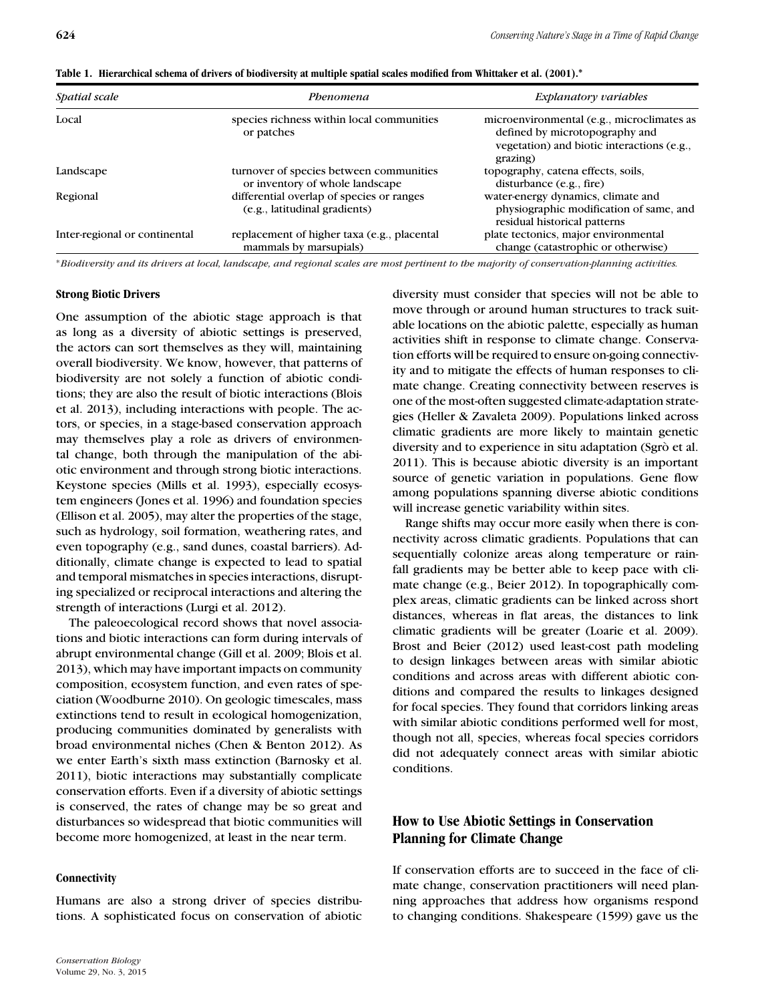| Spatial scale                 | Phenomena                                                                  | Explanatory variables                                                                                                                  |
|-------------------------------|----------------------------------------------------------------------------|----------------------------------------------------------------------------------------------------------------------------------------|
| Local                         | species richness within local communities<br>or patches                    | microenvironmental (e.g., microclimates as<br>defined by microtopography and<br>vegetation) and biotic interactions (e.g.,<br>grazing) |
| Landscape                     | turnover of species between communities<br>or inventory of whole landscape | topography, catena effects, soils,<br>disturbance (e.g., fire)                                                                         |
| Regional                      | differential overlap of species or ranges<br>(e.g., latitudinal gradients) | water-energy dynamics, climate and<br>physiographic modification of same, and<br>residual historical patterns                          |
| Inter-regional or continental | replacement of higher taxa (e.g., placental<br>mammals by marsupials)      | plate tectonics, major environmental<br>change (catastrophic or otherwise)                                                             |

**Table 1. Hierarchical schema of drivers of biodiversity at multiple spatial scales modified from Whittaker et al. (2001).<sup>∗</sup>**

∗*Biodiversity and its drivers at local, landscape, and regional scales are most pertinent to the majority of conservation-planning activities.*

## **Strong Biotic Drivers**

One assumption of the abiotic stage approach is that as long as a diversity of abiotic settings is preserved, the actors can sort themselves as they will, maintaining overall biodiversity. We know, however, that patterns of biodiversity are not solely a function of abiotic conditions; they are also the result of biotic interactions (Blois et al. 2013), including interactions with people. The actors, or species, in a stage-based conservation approach may themselves play a role as drivers of environmental change, both through the manipulation of the abiotic environment and through strong biotic interactions. Keystone species (Mills et al. 1993), especially ecosystem engineers (Jones et al. 1996) and foundation species (Ellison et al. 2005), may alter the properties of the stage, such as hydrology, soil formation, weathering rates, and even topography (e.g., sand dunes, coastal barriers). Additionally, climate change is expected to lead to spatial and temporal mismatches in species interactions, disrupting specialized or reciprocal interactions and altering the strength of interactions (Lurgi et al. 2012).

The paleoecological record shows that novel associations and biotic interactions can form during intervals of abrupt environmental change (Gill et al. 2009; Blois et al. 2013), which may have important impacts on community composition, ecosystem function, and even rates of speciation (Woodburne 2010). On geologic timescales, mass extinctions tend to result in ecological homogenization, producing communities dominated by generalists with broad environmental niches (Chen & Benton 2012). As we enter Earth's sixth mass extinction (Barnosky et al. 2011), biotic interactions may substantially complicate conservation efforts. Even if a diversity of abiotic settings is conserved, the rates of change may be so great and disturbances so widespread that biotic communities will become more homogenized, at least in the near term.

# **Connectivity**

Humans are also a strong driver of species distributions. A sophisticated focus on conservation of abiotic

diversity must consider that species will not be able to move through or around human structures to track suitable locations on the abiotic palette, especially as human activities shift in response to climate change. Conservation efforts will be required to ensure on-going connectivity and to mitigate the effects of human responses to climate change. Creating connectivity between reserves is one of the most-often suggested climate-adaptation strategies (Heller & Zavaleta 2009). Populations linked across climatic gradients are more likely to maintain genetic diversity and to experience in situ adaptation (Sgrò et al. 2011). This is because abiotic diversity is an important source of genetic variation in populations. Gene flow among populations spanning diverse abiotic conditions will increase genetic variability within sites.

Range shifts may occur more easily when there is connectivity across climatic gradients. Populations that can sequentially colonize areas along temperature or rainfall gradients may be better able to keep pace with climate change (e.g., Beier 2012). In topographically complex areas, climatic gradients can be linked across short distances, whereas in flat areas, the distances to link climatic gradients will be greater (Loarie et al. 2009). Brost and Beier (2012) used least-cost path modeling to design linkages between areas with similar abiotic conditions and across areas with different abiotic conditions and compared the results to linkages designed for focal species. They found that corridors linking areas with similar abiotic conditions performed well for most, though not all, species, whereas focal species corridors did not adequately connect areas with similar abiotic conditions.

# **How to Use Abiotic Settings in Conservation Planning for Climate Change**

If conservation efforts are to succeed in the face of climate change, conservation practitioners will need planning approaches that address how organisms respond to changing conditions. Shakespeare (1599) gave us the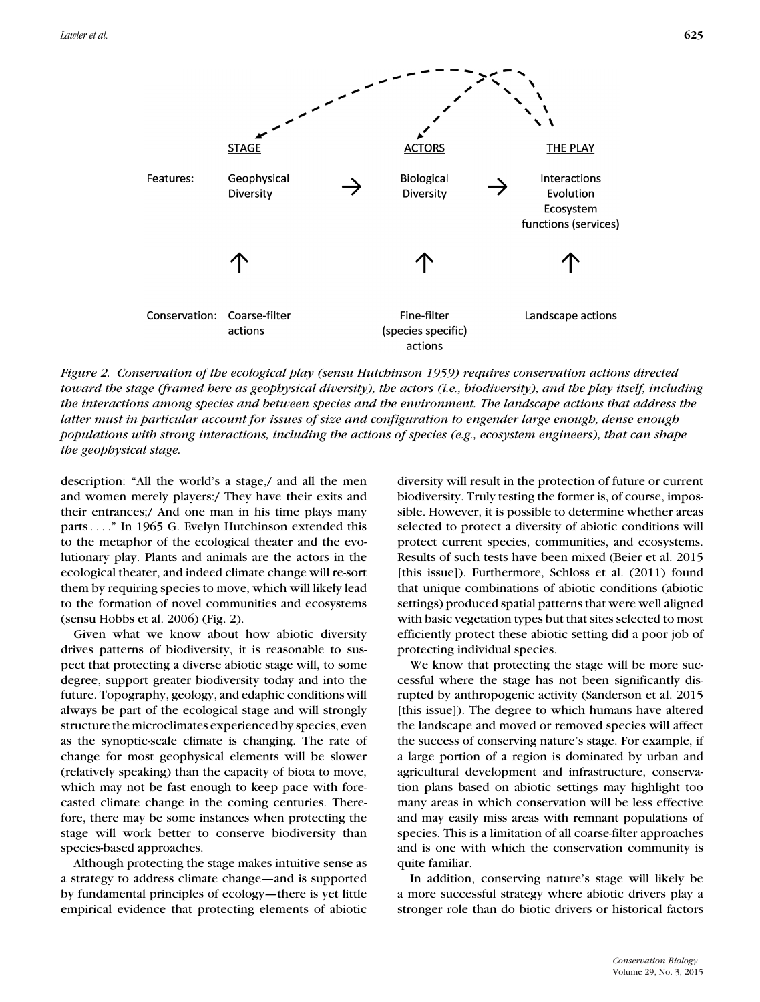

*Figure 2. Conservation of the ecological play (sensu Hutchinson 1959) requires conservation actions directed toward the stage (framed here as geophysical diversity), the actors (i.e., biodiversity), and the play itself, including the interactions among species and between species and the environment. The landscape actions that address the latter must in particular account for issues of size and configuration to engender large enough, dense enough populations with strong interactions, including the actions of species (e.g., ecosystem engineers), that can shape the geophysical stage.*

description: "All the world's a stage,/ and all the men and women merely players:/ They have their exits and their entrances;/ And one man in his time plays many parts . . . ." In 1965 G. Evelyn Hutchinson extended this to the metaphor of the ecological theater and the evolutionary play. Plants and animals are the actors in the ecological theater, and indeed climate change will re-sort them by requiring species to move, which will likely lead to the formation of novel communities and ecosystems (sensu Hobbs et al. 2006) (Fig. 2).

Given what we know about how abiotic diversity drives patterns of biodiversity, it is reasonable to suspect that protecting a diverse abiotic stage will, to some degree, support greater biodiversity today and into the future. Topography, geology, and edaphic conditions will always be part of the ecological stage and will strongly structure the microclimates experienced by species, even as the synoptic-scale climate is changing. The rate of change for most geophysical elements will be slower (relatively speaking) than the capacity of biota to move, which may not be fast enough to keep pace with forecasted climate change in the coming centuries. Therefore, there may be some instances when protecting the stage will work better to conserve biodiversity than species-based approaches.

Although protecting the stage makes intuitive sense as a strategy to address climate change—and is supported by fundamental principles of ecology—there is yet little empirical evidence that protecting elements of abiotic diversity will result in the protection of future or current biodiversity. Truly testing the former is, of course, impossible. However, it is possible to determine whether areas selected to protect a diversity of abiotic conditions will protect current species, communities, and ecosystems. Results of such tests have been mixed (Beier et al. 2015 [this issue]). Furthermore, Schloss et al. (2011) found that unique combinations of abiotic conditions (abiotic settings) produced spatial patterns that were well aligned with basic vegetation types but that sites selected to most efficiently protect these abiotic setting did a poor job of protecting individual species.

We know that protecting the stage will be more successful where the stage has not been significantly disrupted by anthropogenic activity (Sanderson et al. 2015 [this issue]). The degree to which humans have altered the landscape and moved or removed species will affect the success of conserving nature's stage. For example, if a large portion of a region is dominated by urban and agricultural development and infrastructure, conservation plans based on abiotic settings may highlight too many areas in which conservation will be less effective and may easily miss areas with remnant populations of species. This is a limitation of all coarse-filter approaches and is one with which the conservation community is quite familiar.

In addition, conserving nature's stage will likely be a more successful strategy where abiotic drivers play a stronger role than do biotic drivers or historical factors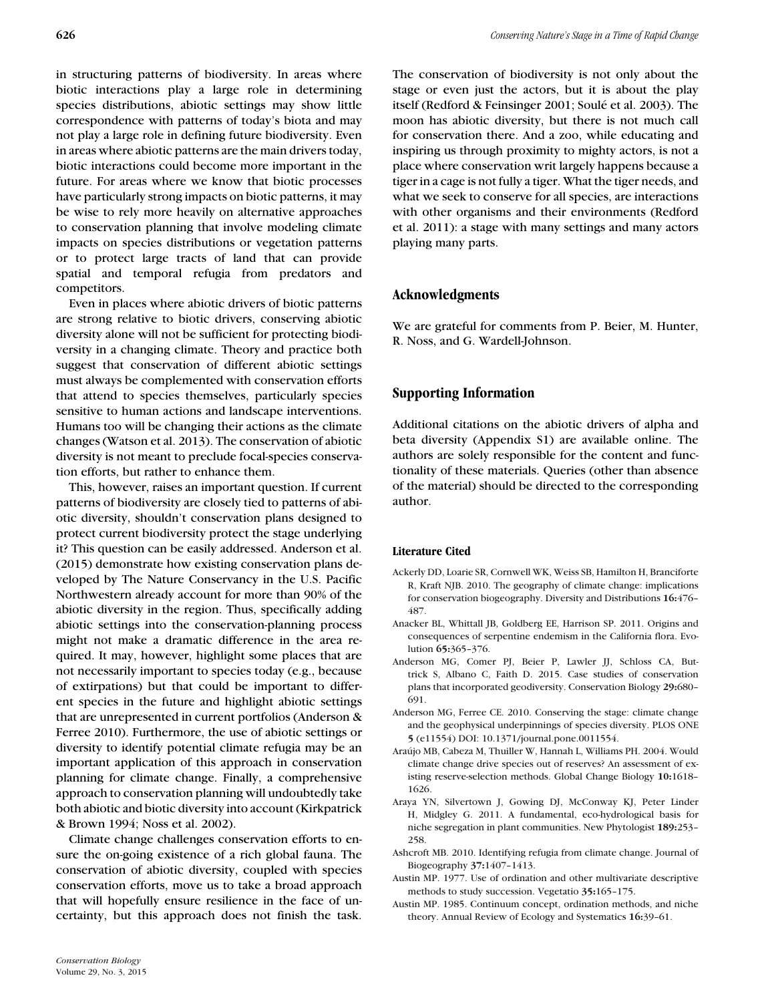in structuring patterns of biodiversity. In areas where biotic interactions play a large role in determining species distributions, abiotic settings may show little correspondence with patterns of today's biota and may not play a large role in defining future biodiversity. Even in areas where abiotic patterns are the main drivers today, biotic interactions could become more important in the future. For areas where we know that biotic processes have particularly strong impacts on biotic patterns, it may be wise to rely more heavily on alternative approaches to conservation planning that involve modeling climate impacts on species distributions or vegetation patterns or to protect large tracts of land that can provide spatial and temporal refugia from predators and competitors.

Even in places where abiotic drivers of biotic patterns are strong relative to biotic drivers, conserving abiotic diversity alone will not be sufficient for protecting biodiversity in a changing climate. Theory and practice both suggest that conservation of different abiotic settings must always be complemented with conservation efforts that attend to species themselves, particularly species sensitive to human actions and landscape interventions. Humans too will be changing their actions as the climate changes (Watson et al. 2013). The conservation of abiotic diversity is not meant to preclude focal-species conservation efforts, but rather to enhance them.

This, however, raises an important question. If current patterns of biodiversity are closely tied to patterns of abiotic diversity, shouldn't conservation plans designed to protect current biodiversity protect the stage underlying it? This question can be easily addressed. Anderson et al. (2015) demonstrate how existing conservation plans developed by The Nature Conservancy in the U.S. Pacific Northwestern already account for more than 90% of the abiotic diversity in the region. Thus, specifically adding abiotic settings into the conservation-planning process might not make a dramatic difference in the area required. It may, however, highlight some places that are not necessarily important to species today (e.g., because of extirpations) but that could be important to different species in the future and highlight abiotic settings that are unrepresented in current portfolios (Anderson & Ferree 2010). Furthermore, the use of abiotic settings or diversity to identify potential climate refugia may be an important application of this approach in conservation planning for climate change. Finally, a comprehensive approach to conservation planning will undoubtedly take both abiotic and biotic diversity into account (Kirkpatrick & Brown 1994; Noss et al. 2002).

Climate change challenges conservation efforts to ensure the on-going existence of a rich global fauna. The conservation of abiotic diversity, coupled with species conservation efforts, move us to take a broad approach that will hopefully ensure resilience in the face of uncertainty, but this approach does not finish the task.

The conservation of biodiversity is not only about the stage or even just the actors, but it is about the play itself (Redford & Feinsinger 2001; Soulé et al. 2003). The moon has abiotic diversity, but there is not much call for conservation there. And a zoo, while educating and inspiring us through proximity to mighty actors, is not a place where conservation writ largely happens because a tiger in a cage is not fully a tiger. What the tiger needs, and what we seek to conserve for all species, are interactions with other organisms and their environments (Redford et al. 2011): a stage with many settings and many actors playing many parts.

# **Acknowledgments**

We are grateful for comments from P. Beier, M. Hunter, R. Noss, and G. Wardell-Johnson.

## **Supporting Information**

Additional citations on the abiotic drivers of alpha and beta diversity (Appendix S1) are available online. The authors are solely responsible for the content and functionality of these materials. Queries (other than absence of the material) should be directed to the corresponding author.

#### **Literature Cited**

- Ackerly DD, Loarie SR, Cornwell WK, Weiss SB, Hamilton H, Branciforte R, Kraft NJB. 2010. The geography of climate change: implications for conservation biogeography. Diversity and Distributions **16:**476– 487.
- Anacker BL, Whittall JB, Goldberg EE, Harrison SP. 2011. Origins and consequences of serpentine endemism in the California flora. Evolution **65:**365–376.
- Anderson MG, Comer PJ, Beier P, Lawler JJ, Schloss CA, Buttrick S, Albano C, Faith D. 2015. Case studies of conservation plans that incorporated geodiversity. Conservation Biology **29:**680– 691.
- Anderson MG, Ferree CE. 2010. Conserving the stage: climate change and the geophysical underpinnings of species diversity. PLOS ONE **5** (e11554) DOI: 10.1371/journal.pone.0011554.
- Araújo MB, Cabeza M, Thuiller W, Hannah L, Williams PH. 2004. Would climate change drive species out of reserves? An assessment of existing reserve-selection methods. Global Change Biology **10:**1618– 1626.
- Araya YN, Silvertown J, Gowing DJ, McConway KJ, Peter Linder H, Midgley G. 2011. A fundamental, eco-hydrological basis for niche segregation in plant communities. New Phytologist **189:**253– 258.
- Ashcroft MB. 2010. Identifying refugia from climate change. Journal of Biogeography **37:**1407–1413.
- Austin MP. 1977. Use of ordination and other multivariate descriptive methods to study succession. Vegetatio **35:**165–175.
- Austin MP. 1985. Continuum concept, ordination methods, and niche theory. Annual Review of Ecology and Systematics **16:**39–61.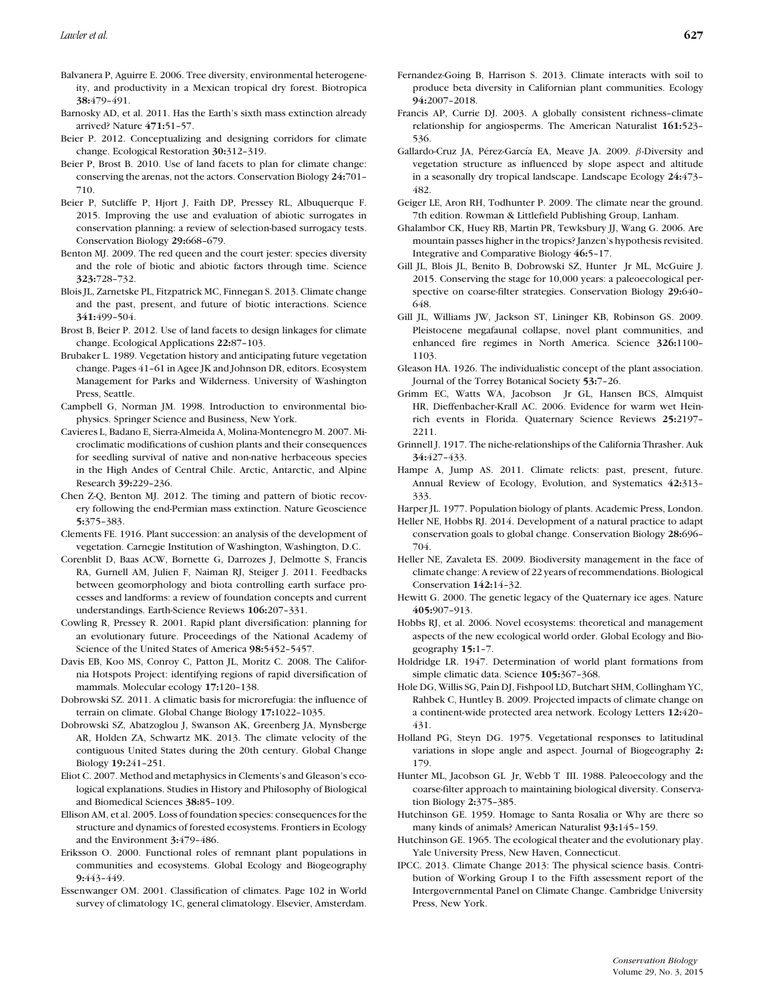- Balvanera P, Aguirre E. 2006. Tree diversity, environmental heterogeneity, and productivity in a Mexican tropical dry forest. Biotropica **38:**479–491.
- Barnosky AD, et al. 2011. Has the Earth's sixth mass extinction already arrived? Nature **471:**51–57.
- Beier P. 2012. Conceptualizing and designing corridors for climate change. Ecological Restoration **30:**312–319.
- Beier P, Brost B. 2010. Use of land facets to plan for climate change: conserving the arenas, not the actors. Conservation Biology **24:**701– 710.
- Beier P, Sutcliffe P, Hjort J, Faith DP, Pressey RL, Albuquerque F. 2015. Improving the use and evaluation of abiotic surrogates in conservation planning: a review of selection-based surrogacy tests. Conservation Biology **29:**668–679.
- Benton MJ. 2009. The red queen and the court jester: species diversity and the role of biotic and abiotic factors through time. Science **323:**728–732.
- Blois JL, Zarnetske PL, Fitzpatrick MC, Finnegan S. 2013. Climate change and the past, present, and future of biotic interactions. Science **341:**499–504.
- Brost B, Beier P. 2012. Use of land facets to design linkages for climate change. Ecological Applications **22:**87–103.
- Brubaker L. 1989. Vegetation history and anticipating future vegetation change. Pages 41–61 in Agee JK and Johnson DR, editors. Ecosystem Management for Parks and Wilderness. University of Washington Press, Seattle.
- Campbell G, Norman JM. 1998. Introduction to environmental biophysics. Springer Science and Business, New York.
- Cavieres L, Badano E, Sierra-Almeida A, Molina-Montenegro M. 2007. Microclimatic modifications of cushion plants and their consequences for seedling survival of native and non-native herbaceous species in the High Andes of Central Chile. Arctic, Antarctic, and Alpine Research **39:**229–236.
- Chen Z-Q, Benton MJ. 2012. The timing and pattern of biotic recovery following the end-Permian mass extinction. Nature Geoscience **5:**375–383.
- Clements FE. 1916. Plant succession: an analysis of the development of vegetation. Carnegie Institution of Washington, Washington, D.C.
- Corenblit D, Baas ACW, Bornette G, Darrozes J, Delmotte S, Francis RA, Gurnell AM, Julien F, Naiman RJ, Steiger J. 2011. Feedbacks between geomorphology and biota controlling earth surface processes and landforms: a review of foundation concepts and current understandings. Earth-Science Reviews **106:**207–331.
- Cowling R, Pressey R. 2001. Rapid plant diversification: planning for an evolutionary future. Proceedings of the National Academy of Science of the United States of America **98:**5452–5457.
- Davis EB, Koo MS, Conroy C, Patton JL, Moritz C. 2008. The California Hotspots Project: identifying regions of rapid diversification of mammals. Molecular ecology **17:**120–138.
- Dobrowski SZ. 2011. A climatic basis for microrefugia: the influence of terrain on climate. Global Change Biology **17:**1022–1035.
- Dobrowski SZ, Abatzoglou J, Swanson AK, Greenberg JA, Mynsberge AR, Holden ZA, Schwartz MK. 2013. The climate velocity of the contiguous United States during the 20th century. Global Change Biology **19:**241–251.
- Eliot C. 2007. Method and metaphysics in Clements's and Gleason's ecological explanations. Studies in History and Philosophy of Biological and Biomedical Sciences **38:**85–109.
- Ellison AM, et al. 2005. Loss of foundation species: consequences for the structure and dynamics of forested ecosystems. Frontiers in Ecology and the Environment **3:**479–486.
- Eriksson O. 2000. Functional roles of remnant plant populations in communities and ecosystems. Global Ecology and Biogeography **9:**443–449.
- Essenwanger OM. 2001. Classification of climates. Page 102 in World survey of climatology 1C, general climatology. Elsevier, Amsterdam.
- Fernandez-Going B, Harrison S. 2013. Climate interacts with soil to produce beta diversity in Californian plant communities. Ecology **94:**2007–2018.
- Francis AP, Currie DJ. 2003. A globally consistent richness–climate relationship for angiosperms. The American Naturalist **161:**523– 536.
- Gallardo-Cruz JA, Pérez-García EA, Meave JA. 2009. β-Diversity and vegetation structure as influenced by slope aspect and altitude in a seasonally dry tropical landscape. Landscape Ecology **24:**473– 482.
- Geiger LE, Aron RH, Todhunter P. 2009. The climate near the ground. 7th edition. Rowman & Littlefield Publishing Group, Lanham.
- Ghalambor CK, Huey RB, Martin PR, Tewksbury JJ, Wang G. 2006. Are mountain passes higher in the tropics? Janzen's hypothesis revisited. Integrative and Comparative Biology **46:**5–17.
- Gill JL, Blois JL, Benito B, Dobrowski SZ, Hunter Jr ML, McGuire J. 2015. Conserving the stage for 10,000 years: a paleoecological perspective on coarse-filter strategies. Conservation Biology **29:**640– 648.
- Gill JL, Williams JW, Jackson ST, Lininger KB, Robinson GS. 2009. Pleistocene megafaunal collapse, novel plant communities, and enhanced fire regimes in North America. Science **326:**1100– 1103.
- Gleason HA. 1926. The individualistic concept of the plant association. Journal of the Torrey Botanical Society **53:**7–26.
- Grimm EC, Watts WA, Jacobson Jr GL, Hansen BCS, Almquist HR, Dieffenbacher-Krall AC. 2006. Evidence for warm wet Heinrich events in Florida. Quaternary Science Reviews **25:**2197– 2211.
- Grinnell J. 1917. The niche-relationships of the California Thrasher. Auk **34:**427–433.
- Hampe A, Jump AS. 2011. Climate relicts: past, present, future. Annual Review of Ecology, Evolution, and Systematics **42:**313– 333.
- Harper JL. 1977. Population biology of plants. Academic Press, London.
- Heller NE, Hobbs RJ. 2014. Development of a natural practice to adapt conservation goals to global change. Conservation Biology **28:**696– 704.
- Heller NE, Zavaleta ES. 2009. Biodiversity management in the face of climate change: A review of 22 years of recommendations. Biological Conservation **142:**14–32.
- Hewitt G. 2000. The genetic legacy of the Quaternary ice ages. Nature **405:**907–913.
- Hobbs RJ, et al. 2006. Novel ecosystems: theoretical and management aspects of the new ecological world order. Global Ecology and Biogeography **15:**1–7.
- Holdridge LR. 1947. Determination of world plant formations from simple climatic data. Science **105:**367–368.
- Hole DG, Willis SG, Pain DJ, Fishpool LD, Butchart SHM, Collingham YC, Rahbek C, Huntley B. 2009. Projected impacts of climate change on a continent-wide protected area network. Ecology Letters **12:**420– 431.
- Holland PG, Steyn DG. 1975. Vegetational responses to latitudinal variations in slope angle and aspect. Journal of Biogeography **2:** 179.
- Hunter ML, Jacobson GL Jr, Webb T III. 1988. Paleoecology and the coarse-filter approach to maintaining biological diversity. Conservation Biology **2:**375–385.
- Hutchinson GE. 1959. Homage to Santa Rosalia or Why are there so many kinds of animals? American Naturalist **93:**145–159.
- Hutchinson GE. 1965. The ecological theater and the evolutionary play. Yale University Press, New Haven, Connecticut.
- IPCC. 2013. Climate Change 2013: The physical science basis. Contribution of Working Group I to the Fifth assessment report of the Intergovernmental Panel on Climate Change. Cambridge University Press, New York.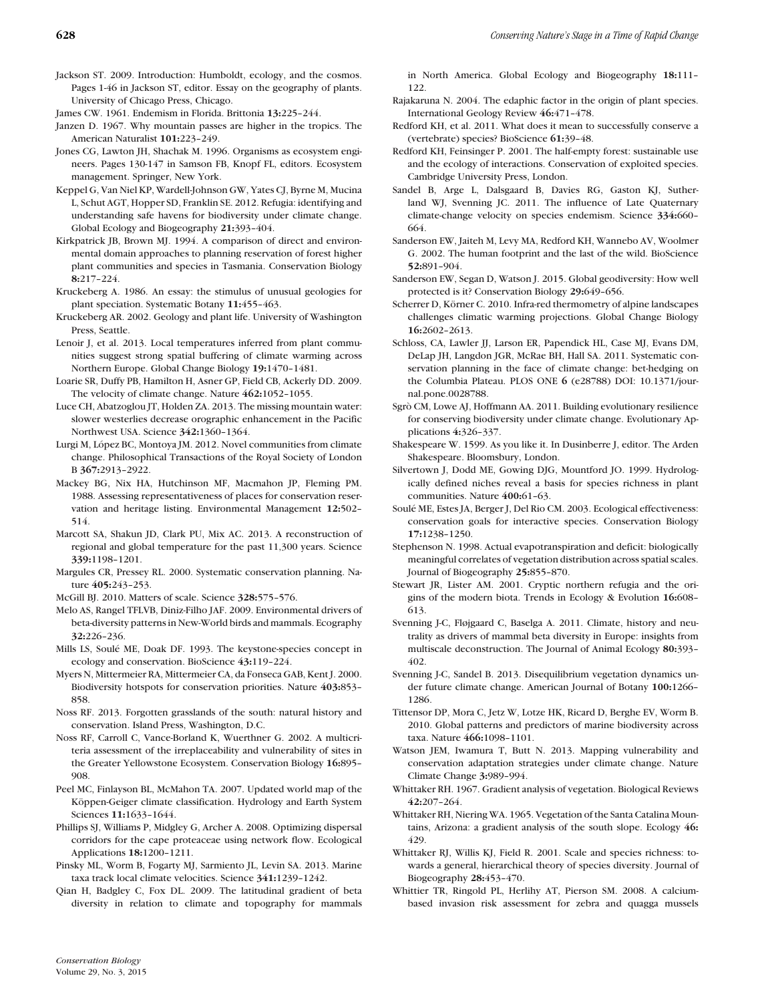- Jackson ST. 2009. Introduction: Humboldt, ecology, and the cosmos. Pages 1-46 in Jackson ST, editor. Essay on the geography of plants. University of Chicago Press, Chicago.
- James CW. 1961. Endemism in Florida. Brittonia **13:**225–244.
- Janzen D. 1967. Why mountain passes are higher in the tropics. The American Naturalist **101:**223–249.
- Jones CG, Lawton JH, Shachak M. 1996. Organisms as ecosystem engineers. Pages 130-147 in Samson FB, Knopf FL, editors. Ecosystem management. Springer, New York.
- Keppel G, Van Niel KP, Wardell-Johnson GW, Yates CJ, Byrne M, Mucina L, Schut AGT, Hopper SD, Franklin SE. 2012. Refugia: identifying and understanding safe havens for biodiversity under climate change. Global Ecology and Biogeography **21:**393–404.
- Kirkpatrick JB, Brown MJ. 1994. A comparison of direct and environmental domain approaches to planning reservation of forest higher plant communities and species in Tasmania. Conservation Biology **8:**217–224.
- Kruckeberg A. 1986. An essay: the stimulus of unusual geologies for plant speciation. Systematic Botany **11:**455–463.
- Kruckeberg AR. 2002. Geology and plant life. University of Washington Press, Seattle.
- Lenoir J, et al. 2013. Local temperatures inferred from plant communities suggest strong spatial buffering of climate warming across Northern Europe. Global Change Biology **19:**1470–1481.
- Loarie SR, Duffy PB, Hamilton H, Asner GP, Field CB, Ackerly DD. 2009. The velocity of climate change. Nature **462:**1052–1055.
- Luce CH, Abatzoglou JT, Holden ZA. 2013. The missing mountain water: slower westerlies decrease orographic enhancement in the Pacific Northwest USA. Science **342:**1360–1364.
- Lurgi M, López BC, Montova JM, 2012. Novel communities from climate change. Philosophical Transactions of the Royal Society of London B **367:**2913–2922.
- Mackey BG, Nix HA, Hutchinson MF, Macmahon JP, Fleming PM. 1988. Assessing representativeness of places for conservation reservation and heritage listing. Environmental Management **12:**502– 514.
- Marcott SA, Shakun JD, Clark PU, Mix AC. 2013. A reconstruction of regional and global temperature for the past 11,300 years. Science **339:**1198–1201.
- Margules CR, Pressey RL. 2000. Systematic conservation planning. Nature **405:**243–253.
- McGill BJ. 2010. Matters of scale. Science **328:**575–576.
- Melo AS, Rangel TFLVB, Diniz-Filho JAF. 2009. Environmental drivers of beta-diversity patterns in New-World birds and mammals. Ecography **32:**226–236.
- Mills LS, Soule ME, Doak DF. 1993. The keystone-species concept in ´ ecology and conservation. BioScience **43:**119–224.
- Myers N, Mittermeier RA, Mittermeier CA, da Fonseca GAB, Kent J. 2000. Biodiversity hotspots for conservation priorities. Nature **403:**853– 858.
- Noss RF. 2013. Forgotten grasslands of the south: natural history and conservation. Island Press, Washington, D.C.
- Noss RF, Carroll C, Vance-Borland K, Wuerthner G. 2002. A multicriteria assessment of the irreplaceability and vulnerability of sites in the Greater Yellowstone Ecosystem. Conservation Biology **16:**895– 908.
- Peel MC, Finlayson BL, McMahon TA. 2007. Updated world map of the Köppen-Geiger climate classification. Hydrology and Earth System Sciences **11:**1633–1644.
- Phillips SJ, Williams P, Midgley G, Archer A. 2008. Optimizing dispersal corridors for the cape proteaceae using network flow. Ecological Applications **18:**1200–1211.
- Pinsky ML, Worm B, Fogarty MJ, Sarmiento JL, Levin SA. 2013. Marine taxa track local climate velocities. Science **341:**1239–1242.
- Qian H, Badgley C, Fox DL. 2009. The latitudinal gradient of beta diversity in relation to climate and topography for mammals

in North America. Global Ecology and Biogeography **18:**111– 122.

- Rajakaruna N. 2004. The edaphic factor in the origin of plant species. International Geology Review **46:**471–478.
- Redford KH, et al. 2011. What does it mean to successfully conserve a (vertebrate) species? BioScience **61:**39–48.
- Redford KH, Feinsinger P. 2001. The half-empty forest: sustainable use and the ecology of interactions. Conservation of exploited species. Cambridge University Press, London.
- Sandel B, Arge L, Dalsgaard B, Davies RG, Gaston KJ, Sutherland WJ, Svenning JC. 2011. The influence of Late Quaternary climate-change velocity on species endemism. Science **334:**660– 664.
- Sanderson EW, Jaiteh M, Levy MA, Redford KH, Wannebo AV, Woolmer G. 2002. The human footprint and the last of the wild. BioScience **52:**891–904.
- Sanderson EW, Segan D, Watson J. 2015. Global geodiversity: How well protected is it? Conservation Biology **29:**649–656.
- Scherrer D, Körner C. 2010. Infra-red thermometry of alpine landscapes challenges climatic warming projections. Global Change Biology **16:**2602–2613.
- Schloss, CA, Lawler JJ, Larson ER, Papendick HL, Case MJ, Evans DM, DeLap JH, Langdon JGR, McRae BH, Hall SA. 2011. Systematic conservation planning in the face of climate change: bet-hedging on the Columbia Plateau. PLOS ONE **6** (e28788) DOI: 10.1371/journal.pone.0028788.
- Sgrò CM, Lowe AJ, Hoffmann AA. 2011. Building evolutionary resilience for conserving biodiversity under climate change. Evolutionary Applications **4:**326–337.
- Shakespeare W. 1599. As you like it. In Dusinberre J, editor. The Arden Shakespeare. Bloomsbury, London.
- Silvertown J, Dodd ME, Gowing DJG, Mountford JO. 1999. Hydrologically defined niches reveal a basis for species richness in plant communities. Nature **400:**61–63.
- Soulé ME, Estes JA, Berger J, Del Rio CM. 2003. Ecological effectiveness: conservation goals for interactive species. Conservation Biology **17:**1238–1250.
- Stephenson N. 1998. Actual evapotranspiration and deficit: biologically meaningful correlates of vegetation distribution across spatial scales. Journal of Biogeography **25:**855–870.
- Stewart JR, Lister AM. 2001. Cryptic northern refugia and the origins of the modern biota. Trends in Ecology & Evolution **16:**608– 613.
- Svenning J-C, Fløjgaard C, Baselga A. 2011. Climate, history and neutrality as drivers of mammal beta diversity in Europe: insights from multiscale deconstruction. The Journal of Animal Ecology **80:**393– 402.
- Svenning J-C, Sandel B. 2013. Disequilibrium vegetation dynamics under future climate change. American Journal of Botany **100:**1266– 1286.
- Tittensor DP, Mora C, Jetz W, Lotze HK, Ricard D, Berghe EV, Worm B. 2010. Global patterns and predictors of marine biodiversity across taxa. Nature **466:**1098–1101.
- Watson JEM, Iwamura T, Butt N. 2013. Mapping vulnerability and conservation adaptation strategies under climate change. Nature Climate Change **3:**989–994.
- Whittaker RH. 1967. Gradient analysis of vegetation. Biological Reviews **42:**207–264.
- Whittaker RH, Niering WA. 1965. Vegetation of the Santa Catalina Mountains, Arizona: a gradient analysis of the south slope. Ecology **46:** 429.
- Whittaker RJ, Willis KJ, Field R. 2001. Scale and species richness: towards a general, hierarchical theory of species diversity. Journal of Biogeography **28:**453–470.
- Whittier TR, Ringold PL, Herlihy AT, Pierson SM. 2008. A calciumbased invasion risk assessment for zebra and quagga mussels